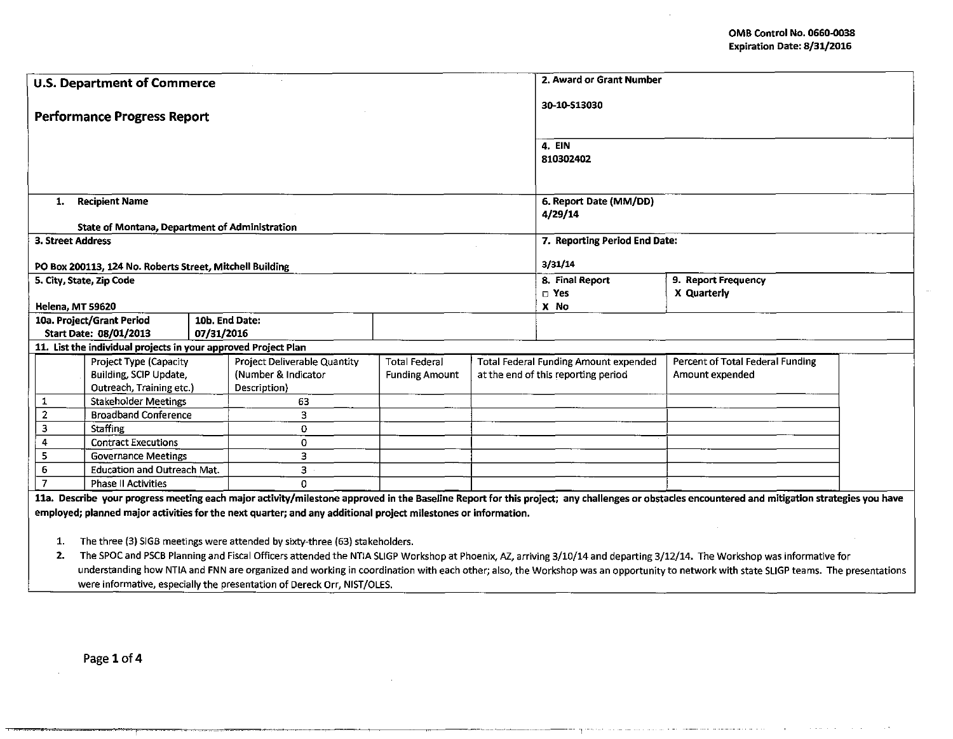la característica de la componenta

the process of the contract

|                  | <b>U.S. Department of Commerce</b>                                             |                |                                                                                                                | 2. Award or Grant Number          |  |                                              |                                                                                                                                                                                                |  |  |  |
|------------------|--------------------------------------------------------------------------------|----------------|----------------------------------------------------------------------------------------------------------------|-----------------------------------|--|----------------------------------------------|------------------------------------------------------------------------------------------------------------------------------------------------------------------------------------------------|--|--|--|
|                  | <b>Performance Progress Report</b>                                             |                |                                                                                                                | 30-10-\$13030                     |  |                                              |                                                                                                                                                                                                |  |  |  |
|                  |                                                                                |                |                                                                                                                | 4. EIN<br>810302402               |  |                                              |                                                                                                                                                                                                |  |  |  |
| 1.               | <b>Recipient Name</b><br><b>State of Montana, Department of Administration</b> |                |                                                                                                                | 6. Report Date (MM/DD)<br>4/29/14 |  |                                              |                                                                                                                                                                                                |  |  |  |
|                  | 3. Street Address                                                              |                |                                                                                                                |                                   |  | 7. Reporting Period End Date:                |                                                                                                                                                                                                |  |  |  |
|                  | PO Box 200113, 124 No. Roberts Street, Mitchell Building                       |                |                                                                                                                |                                   |  | 3/31/14                                      |                                                                                                                                                                                                |  |  |  |
|                  | 5. City, State, Zip Code                                                       |                |                                                                                                                |                                   |  | 8. Final Report                              | 9. Report Frequency                                                                                                                                                                            |  |  |  |
|                  |                                                                                |                |                                                                                                                |                                   |  | $\Box$ Yes                                   | X Quarterly                                                                                                                                                                                    |  |  |  |
|                  | <b>Helena, MT 59620</b>                                                        |                |                                                                                                                |                                   |  | X No                                         |                                                                                                                                                                                                |  |  |  |
|                  | 10a. Project/Grant Period                                                      | 10b. End Date: |                                                                                                                |                                   |  |                                              |                                                                                                                                                                                                |  |  |  |
|                  | Start Date: 08/01/2013                                                         | 07/31/2016     |                                                                                                                |                                   |  |                                              |                                                                                                                                                                                                |  |  |  |
|                  | 11. List the individual projects in your approved Project Plan                 |                |                                                                                                                |                                   |  |                                              |                                                                                                                                                                                                |  |  |  |
|                  | <b>Project Type (Capacity</b>                                                  |                | Project Deliverable Quantity                                                                                   | <b>Total Federal</b>              |  | <b>Total Federal Funding Amount expended</b> | Percent of Total Federal Funding                                                                                                                                                               |  |  |  |
|                  | Building, SCIP Update,<br>Outreach, Training etc.)                             |                | (Number & Indicator<br>Description)                                                                            | <b>Funding Amount</b>             |  | at the end of this reporting period          | Amount expended                                                                                                                                                                                |  |  |  |
| $\mathbf{1}$     | <b>Stakeholder Meetings</b>                                                    |                | 63                                                                                                             |                                   |  |                                              |                                                                                                                                                                                                |  |  |  |
| $\overline{2}$   | <b>Broadband Conference</b>                                                    |                | 3                                                                                                              |                                   |  |                                              |                                                                                                                                                                                                |  |  |  |
| 3                | <b>Staffing</b>                                                                |                | 0                                                                                                              |                                   |  |                                              |                                                                                                                                                                                                |  |  |  |
| $\overline{4}$   | <b>Contract Executions</b>                                                     |                | 0                                                                                                              |                                   |  |                                              |                                                                                                                                                                                                |  |  |  |
| 5                | <b>Governance Meetings</b>                                                     |                | 3                                                                                                              |                                   |  |                                              |                                                                                                                                                                                                |  |  |  |
| $\boldsymbol{6}$ | <b>Education and Outreach Mat.</b>                                             |                | З.                                                                                                             |                                   |  |                                              |                                                                                                                                                                                                |  |  |  |
| $\overline{I}$   | <b>Phase II Activities</b>                                                     |                | O.                                                                                                             |                                   |  |                                              |                                                                                                                                                                                                |  |  |  |
|                  |                                                                                |                | employed; planned major activities for the next quarter; and any additional project milestones or information. |                                   |  |                                              | 11a. Describe your progress meeting each major activity/milestone approved in the Baseline Report for this project; any challenges or obstacles encountered and mitigation strategies you have |  |  |  |
| 1.               |                                                                                |                | The three (3) SIGB meetings were attended by sixty-three (63) stakeholders.                                    |                                   |  |                                              |                                                                                                                                                                                                |  |  |  |
| 2.               |                                                                                |                |                                                                                                                |                                   |  |                                              | The SPOC and PSCB Planning and Fiscal Officers attended the NTIA SLIGP Workshop at Phoenix, AZ, arriving 3/10/14 and departing 3/12/14. The Workshop was informative for                       |  |  |  |
|                  |                                                                                |                |                                                                                                                |                                   |  |                                              | understanding how NTIA and FNN are organized and working in coordination with each other; also, the Workshop was an opportunity to network with state SLIGP teams. The presentations           |  |  |  |

were informative, especially the presentation of Dereck Orr, NIST/OLES.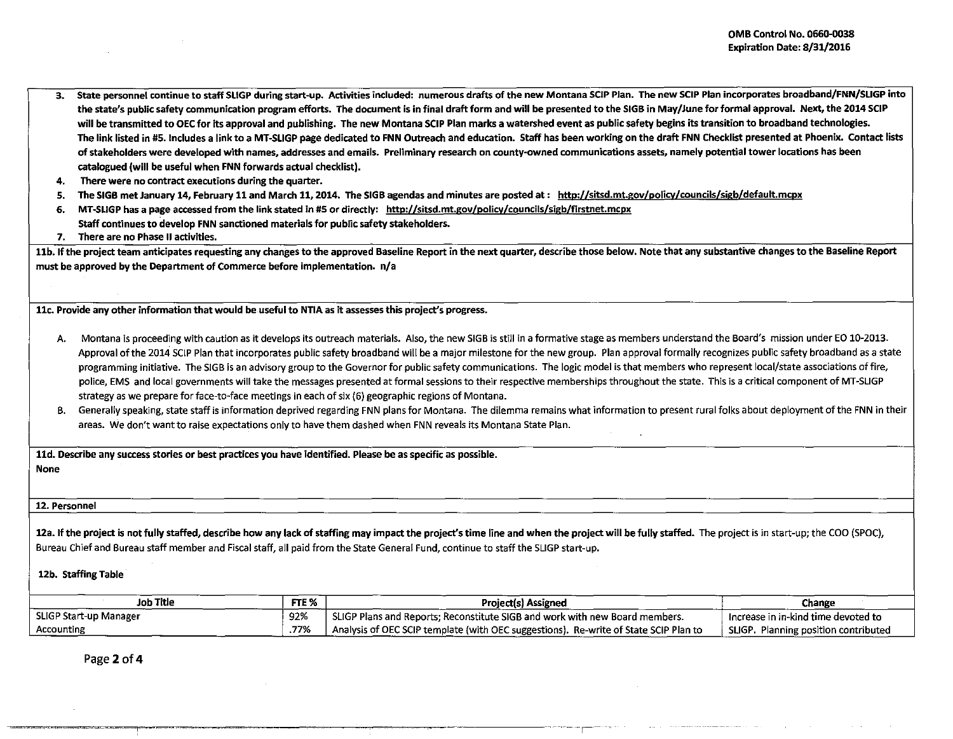- 3. State personnel continue to staff SLIGP during start-up. Activities included: numerous drafts of the new Montana SCIP Plan. The new SCIP Plan incorporates broadband/FNN/SLIGP into the state's public safety communication program efforts. The document is in final draft form and will be presented to the 51GB in May/June for formal approval. Next, the 2014 SCIP will be transmitted to OEC for its approval and publishing. The new Montana SCIP Plan marks a watershed event as public safety begins its transition to broadband technologies. The link listed in #S.Includes a link to a MT-SLIGP page dedicated to FNN Outreach and education. Staff has been working on the draft FNN Checklist presented at Phoenix. Contact lists of stakeholders were developed with names, addresses and emails. Preliminary research on county-owned communications assets, namely potential tower locations has been catalogued (will be useful when FNN forwards actual checklist).
- 4. There were no contract executions during the quarter.
- 5. The SIGB met January 14, February 11 and March 11, 2014. The SIGB agendas and minutes are posted at : http://sitsd.mt.gov/policy/councils/sigb/default.mcpx
- 6. MT-SLIGP has a page accessed from the link stated in #5 or directly: http://sitsd.mt.gov/policy/councils/sigb/firstnet.mcpx
	- Staff continues to develop FNN sanctioned materials for public safety stakeholders.
- 7. There are no Phase II activities.

11b. If the project team anticipates requesting any changes to the approved Baseline Report in the next quarter, describe those below. Note that any substantive changes to the Baseline Report must be approved by the Department of Commerce before implementation. n/a

11c. Provide any other information that would be useful to NTIA as it assesses this project"s progress.

- A. Montana is proceeding with caution as it develops its outreach materials. Also, the new SIGB is still in a formative stage as members understand the Board's mission under EO 10-2013. Approval of the 2014 SCIP Plan that incorporates public safety broadband will be a major milestone *tor* the new group. Plan approval formally recognizes public safety broadband as a state programming initiative. The SIGB is an advisory group to the Governor for public safety communications. The logic model is that members who represent local/state associations of fire, police, EMS and local governments will take the messages presented at formal sessions to their respective memberships throughout the state. This is a critical component of MT-SLIGP strategy as we prepare for face-to-face meetings in each of six {6) geographic regions of Montana.
- B. Generally speaking, state staff is information deprived regarding FNN plans for Montana. The dilemma remains what information to present rural folks about deployment of the FNN in their areas. We don't want to raise expectations only to have them dashed when FNN reveals its Montana State Plan.

11d. Describe any success stories or best practices you have identified. Please be as specific as possible.

None

## 12. Personnel

12a. If the project is not fully staffed, describe how any lack of staffing may impact the project's time line and when the project will be fully staffed. The project is in start-up; the COO (SPOC), Bureau Chief and Bureau staff member and Fiscal staff, all paid from the State General Fund, continue to staff the SLIGP start-up.

## 12b. Staffing Table

| Job Title              | FTE <sub>%</sub> | Project(s) Assigned                                                                  | Change                                  |
|------------------------|------------------|--------------------------------------------------------------------------------------|-----------------------------------------|
| SLIGP Start-up Manager | 92%              | SLIGP Plans and Reports: Reconstitute SIGB and work with new Board members.          | Increase in in-kind time devoted to     |
| Accounting             | .77%             | Analysis of OEC SCIP template (with OEC suggestions). Re-write of State SCIP Plan to | SLIGP.<br>Planning position contributed |

------ -r-

Page 2 of 4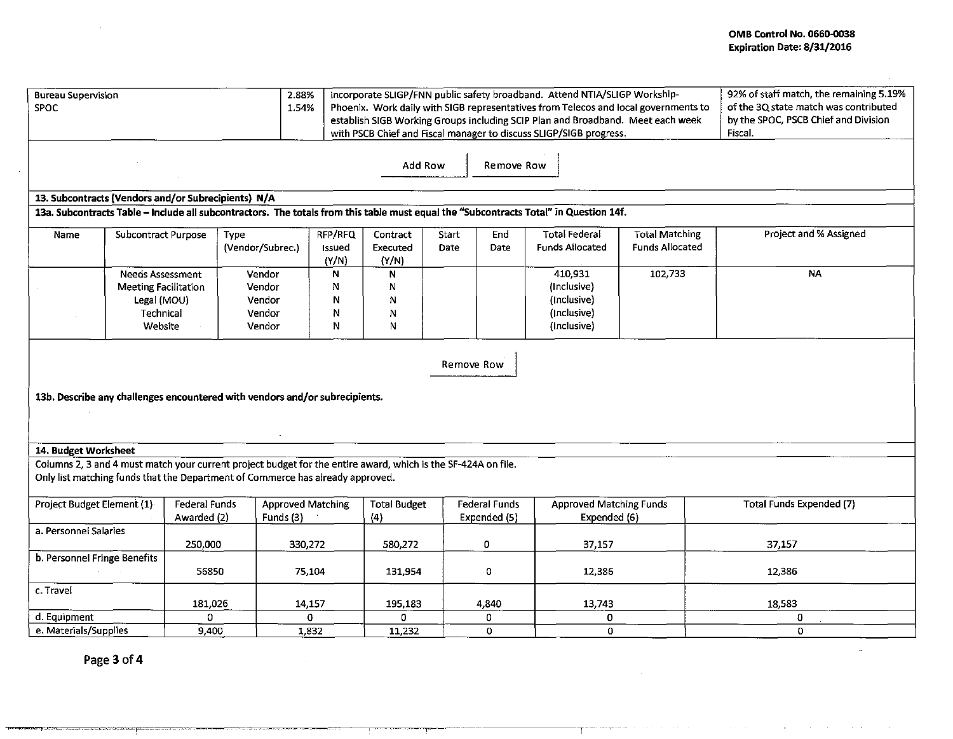| 2.88%<br><b>Bureau Supervision</b><br><b>SPOC</b><br>1.54%                                                                                                                                      |                                                        |                              |                          |                                       |                            | incorporate SLIGP/FNN public safety broadband. Attend NTIA/SLIGP Workship-<br>Phoenix. Work daily with SIGB representatives from Telecos and local governments to<br>establish SIGB Working Groups including SCIP Plan and Broadband. Meet each week<br>with PSCB Chief and Fiscal manager to discuss SLIGP/SIGB progress. |               | 92% of staff match, the remaining 5.19%<br>of the 3Q state match was contributed<br>by the SPOC, PSCB Chief and Division<br>Fiscal. |                                                |                                                 |                                 |
|-------------------------------------------------------------------------------------------------------------------------------------------------------------------------------------------------|--------------------------------------------------------|------------------------------|--------------------------|---------------------------------------|----------------------------|----------------------------------------------------------------------------------------------------------------------------------------------------------------------------------------------------------------------------------------------------------------------------------------------------------------------------|---------------|-------------------------------------------------------------------------------------------------------------------------------------|------------------------------------------------|-------------------------------------------------|---------------------------------|
| Add Row<br>Remove Row                                                                                                                                                                           |                                                        |                              |                          |                                       |                            |                                                                                                                                                                                                                                                                                                                            |               |                                                                                                                                     |                                                |                                                 |                                 |
| 13. Subcontracts (Vendors and/or Subrecipients) N/A                                                                                                                                             |                                                        |                              |                          |                                       |                            |                                                                                                                                                                                                                                                                                                                            |               |                                                                                                                                     |                                                |                                                 |                                 |
| 13a. Subcontracts Table - Include all subcontractors. The totals from this table must equal the "Subcontracts Total" in Question 14f.                                                           |                                                        |                              |                          |                                       |                            |                                                                                                                                                                                                                                                                                                                            |               |                                                                                                                                     |                                                |                                                 |                                 |
| Name                                                                                                                                                                                            | Subcontract Purpose                                    |                              | Type<br>(Vendor/Subrec.) |                                       | RFP/RFQ<br>Issued<br>(Y/N) | Contract<br>Executed<br>(Y/N)                                                                                                                                                                                                                                                                                              | Start<br>Date | End<br>Date                                                                                                                         | <b>Total Federal</b><br><b>Funds Allocated</b> | <b>Total Matching</b><br><b>Funds Allocated</b> | Project and % Assigned          |
|                                                                                                                                                                                                 | <b>Needs Assessment</b><br><b>Meeting Facilitation</b> |                              | Vendor<br>Vendor         |                                       | N<br>N                     | N<br>N                                                                                                                                                                                                                                                                                                                     |               |                                                                                                                                     | 410,931<br>(Inclusive)                         | 102,733                                         | NA                              |
|                                                                                                                                                                                                 | Legal (MOU)                                            |                              | Vendor                   |                                       | N                          | N                                                                                                                                                                                                                                                                                                                          |               |                                                                                                                                     | (Inclusive)                                    |                                                 |                                 |
|                                                                                                                                                                                                 | Technical                                              |                              | Vendor                   |                                       | N                          | N                                                                                                                                                                                                                                                                                                                          |               |                                                                                                                                     | (Inclusive)                                    |                                                 |                                 |
|                                                                                                                                                                                                 | Website                                                |                              | Vendor                   |                                       | N                          | N                                                                                                                                                                                                                                                                                                                          |               |                                                                                                                                     | (Inclusive)                                    |                                                 |                                 |
| Remove Row<br>13b. Describe any challenges encountered with vendors and/or subrecipients.                                                                                                       |                                                        |                              |                          |                                       |                            |                                                                                                                                                                                                                                                                                                                            |               |                                                                                                                                     |                                                |                                                 |                                 |
|                                                                                                                                                                                                 |                                                        |                              |                          |                                       |                            |                                                                                                                                                                                                                                                                                                                            |               |                                                                                                                                     |                                                |                                                 |                                 |
| 14. Budget Worksheet                                                                                                                                                                            |                                                        |                              |                          |                                       |                            |                                                                                                                                                                                                                                                                                                                            |               |                                                                                                                                     |                                                |                                                 |                                 |
| Columns 2, 3 and 4 must match your current project budget for the entire award, which is the SF-424A on file.<br>Only list matching funds that the Department of Commerce has already approved. |                                                        |                              |                          |                                       |                            |                                                                                                                                                                                                                                                                                                                            |               |                                                                                                                                     |                                                |                                                 |                                 |
| Project Budget Element (1)                                                                                                                                                                      |                                                        | Federal Funds<br>Awarded (2) |                          | <b>Approved Matching</b><br>Funds (3) |                            | <b>Total Budget</b><br>(4)                                                                                                                                                                                                                                                                                                 |               | <b>Federal Funds</b><br>Expended (5)                                                                                                | <b>Approved Matching Funds</b><br>Expended (6) |                                                 | <b>Total Funds Expended (7)</b> |
| a. Personnel Salaries                                                                                                                                                                           |                                                        |                              |                          |                                       |                            |                                                                                                                                                                                                                                                                                                                            |               | 0                                                                                                                                   |                                                |                                                 | 37,157                          |
| b. Personnel Fringe Benefits                                                                                                                                                                    |                                                        |                              | 250,000<br>330,272       |                                       |                            | 580,272                                                                                                                                                                                                                                                                                                                    |               |                                                                                                                                     | 37,157                                         |                                                 |                                 |
|                                                                                                                                                                                                 |                                                        | 56850                        |                          | 75,104                                |                            | 131,954                                                                                                                                                                                                                                                                                                                    |               | $\mathbf 0$                                                                                                                         | 12,386                                         |                                                 | 12,386                          |
| c. Travel                                                                                                                                                                                       |                                                        | 181,026                      |                          | 14,157                                |                            | 195,183                                                                                                                                                                                                                                                                                                                    |               | 4,840                                                                                                                               | 13,743                                         |                                                 | 18,583                          |
| d. Equipment                                                                                                                                                                                    |                                                        | 0                            |                          | 0                                     |                            | 0                                                                                                                                                                                                                                                                                                                          |               | 0                                                                                                                                   | 0                                              |                                                 | 0                               |
| e. Materials/Supplies                                                                                                                                                                           |                                                        | 9,400                        |                          | 1,832                                 |                            | 11,232                                                                                                                                                                                                                                                                                                                     |               | O                                                                                                                                   | o                                              |                                                 | $\overline{0}$                  |

--------- ---, ... ------- ,--

Page 3 of 4